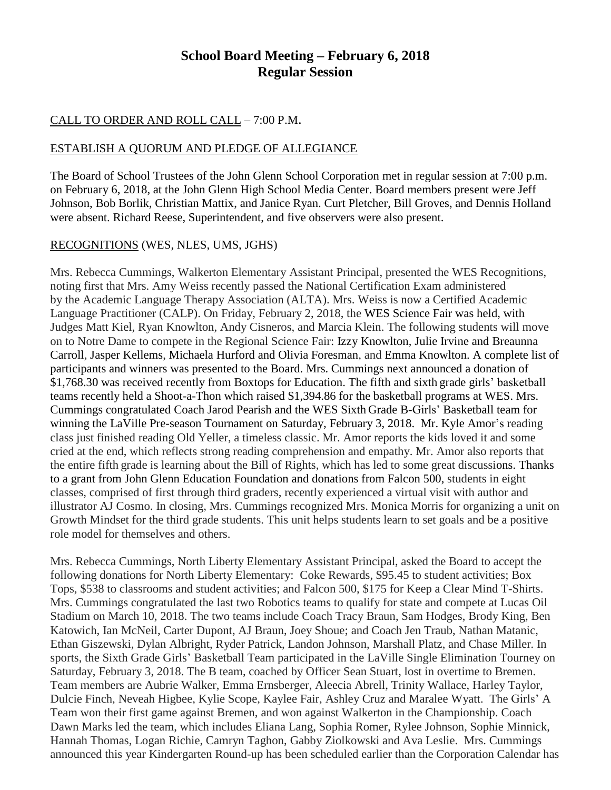### **School Board Meeting – February 6, 2018 Regular Session**

### CALL TO ORDER AND ROLL CALL – 7:00 P.M.

#### ESTABLISH A QUORUM AND PLEDGE OF ALLEGIANCE

The Board of School Trustees of the John Glenn School Corporation met in regular session at 7:00 p.m. on February 6, 2018, at the John Glenn High School Media Center. Board members present were Jeff Johnson, Bob Borlik, Christian Mattix, and Janice Ryan. Curt Pletcher, Bill Groves, and Dennis Holland were absent. Richard Reese, Superintendent, and five observers were also present.

#### RECOGNITIONS (WES, NLES, UMS, JGHS)

Mrs. Rebecca Cummings, Walkerton Elementary Assistant Principal, presented the WES Recognitions, noting first that Mrs. Amy Weiss recently passed the National Certification Exam administered by the Academic Language Therapy Association (ALTA). Mrs. Weiss is now a Certified Academic Language Practitioner (CALP). On Friday, February 2, 2018, the WES Science Fair was held, with Judges Matt Kiel, Ryan Knowlton, Andy Cisneros, and Marcia Klein. The following students will move on to Notre Dame to compete in the Regional Science Fair: Izzy Knowlton, Julie Irvine and Breaunna Carroll, Jasper Kellems, Michaela Hurford and Olivia Foresman, and Emma Knowlton. A complete list of participants and winners was presented to the Board. Mrs. Cummings next announced a donation of \$1,768.30 was received recently from Boxtops for Education. The fifth and sixth grade girls' basketball teams recently held a Shoot-a-Thon which raised \$1,394.86 for the basketball programs at WES. Mrs. Cummings congratulated Coach Jarod Pearish and the WES Sixth Grade B-Girls' Basketball team for winning the LaVille Pre-season Tournament on Saturday, February 3, 2018. Mr. Kyle Amor's reading class just finished reading Old Yeller, a timeless classic. Mr. Amor reports the kids loved it and some cried at the end, which reflects strong reading comprehension and empathy. Mr. Amor also reports that the entire fifth grade is learning about the Bill of Rights, which has led to some great discussions. Thanks to a grant from John Glenn Education Foundation and donations from Falcon 500, students in eight classes, comprised of first through third graders, recently experienced a virtual visit with author and illustrator AJ Cosmo. In closing, Mrs. Cummings recognized Mrs. Monica Morris for organizing a unit on Growth Mindset for the third grade students. This unit helps students learn to set goals and be a positive role model for themselves and others.

Mrs. Rebecca Cummings, North Liberty Elementary Assistant Principal, asked the Board to accept the following donations for North Liberty Elementary: Coke Rewards, \$95.45 to student activities; Box Tops, \$538 to classrooms and student activities; and Falcon 500, \$175 for Keep a Clear Mind T-Shirts. Mrs. Cummings congratulated the last two Robotics teams to qualify for state and compete at Lucas Oil Stadium on March 10, 2018. The two teams include Coach Tracy Braun, Sam Hodges, Brody King, Ben Katowich, Ian McNeil, Carter Dupont, AJ Braun, Joey Shoue; and Coach Jen Traub, Nathan Matanic, Ethan Giszewski, Dylan Albright, Ryder Patrick, Landon Johnson, Marshall Platz, and Chase Miller. In sports, the Sixth Grade Girls' Basketball Team participated in the LaVille Single Elimination Tourney on Saturday, February 3, 2018. The B team, coached by Officer Sean Stuart, lost in overtime to Bremen. Team members are Aubrie Walker, Emma Ernsberger, Aleecia Abrell, Trinity Wallace, Harley Taylor, Dulcie Finch, Neveah Higbee, Kylie Scope, Kaylee Fair, Ashley Cruz and Maralee Wyatt. The Girls' A Team won their first game against Bremen, and won against Walkerton in the Championship. Coach Dawn Marks led the team, which includes Eliana Lang, Sophia Romer, Rylee Johnson, Sophie Minnick, Hannah Thomas, Logan Richie, Camryn Taghon, Gabby Ziolkowski and Ava Leslie. Mrs. Cummings announced this year Kindergarten Round-up has been scheduled earlier than the Corporation Calendar has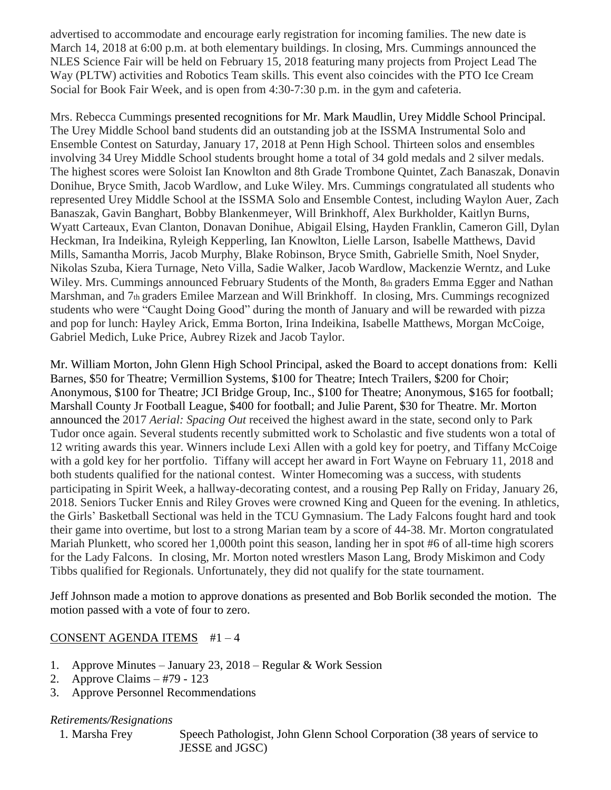advertised to accommodate and encourage early registration for incoming families. The new date is March 14, 2018 at 6:00 p.m. at both elementary buildings. In closing, Mrs. Cummings announced the NLES Science Fair will be held on February 15, 2018 featuring many projects from Project Lead The Way (PLTW) activities and Robotics Team skills. This event also coincides with the PTO Ice Cream Social for Book Fair Week, and is open from 4:30-7:30 p.m. in the gym and cafeteria.

Mrs. Rebecca Cummings presented recognitions for Mr. Mark Maudlin, Urey Middle School Principal. The Urey Middle School band students did an outstanding job at the ISSMA Instrumental Solo and Ensemble Contest on Saturday, January 17, 2018 at Penn High School. Thirteen solos and ensembles involving 34 Urey Middle School students brought home a total of 34 gold medals and 2 silver medals. The highest scores were Soloist Ian Knowlton and 8th Grade Trombone Quintet, Zach Banaszak, Donavin Donihue, Bryce Smith, Jacob Wardlow, and Luke Wiley. Mrs. Cummings congratulated all students who represented Urey Middle School at the ISSMA Solo and Ensemble Contest, including Waylon Auer, Zach Banaszak, Gavin Banghart, Bobby Blankenmeyer, Will Brinkhoff, Alex Burkholder, Kaitlyn Burns, Wyatt Carteaux, Evan Clanton, Donavan Donihue, Abigail Elsing, Hayden Franklin, Cameron Gill, Dylan Heckman, Ira Indeikina, Ryleigh Kepperling, Ian Knowlton, Lielle Larson, Isabelle Matthews, David Mills, Samantha Morris, Jacob Murphy, Blake Robinson, Bryce Smith, Gabrielle Smith, Noel Snyder, Nikolas Szuba, Kiera Turnage, Neto Villa, Sadie Walker, Jacob Wardlow, Mackenzie Werntz, and Luke Wiley. Mrs. Cummings announced February Students of the Month, 8th graders Emma Egger and Nathan Marshman, and 7th graders Emilee Marzean and Will Brinkhoff. In closing, Mrs. Cummings recognized students who were "Caught Doing Good" during the month of January and will be rewarded with pizza and pop for lunch: Hayley Arick, Emma Borton, Irina Indeikina, Isabelle Matthews, Morgan McCoige, Gabriel Medich, Luke Price, Aubrey Rizek and Jacob Taylor.

Mr. William Morton, John Glenn High School Principal, asked the Board to accept donations from: Kelli Barnes, \$50 for Theatre; Vermillion Systems, \$100 for Theatre; Intech Trailers, \$200 for Choir; Anonymous, \$100 for Theatre; JCI Bridge Group, Inc., \$100 for Theatre; Anonymous, \$165 for football; Marshall County Jr Football League, \$400 for football; and Julie Parent, \$30 for Theatre. Mr. Morton announced the 2017 *Aerial: Spacing Out* received the highest award in the state, second only to Park Tudor once again. Several students recently submitted work to Scholastic and five students won a total of 12 writing awards this year. Winners include Lexi Allen with a gold key for poetry, and Tiffany McCoige with a gold key for her portfolio. Tiffany will accept her award in Fort Wayne on February 11, 2018 and both students qualified for the national contest. Winter Homecoming was a success, with students participating in Spirit Week, a hallway-decorating contest, and a rousing Pep Rally on Friday, January 26, 2018. Seniors Tucker Ennis and Riley Groves were crowned King and Queen for the evening. In athletics, the Girls' Basketball Sectional was held in the TCU Gymnasium. The Lady Falcons fought hard and took their game into overtime, but lost to a strong Marian team by a score of 44-38. Mr. Morton congratulated Mariah Plunkett, who scored her 1,000th point this season, landing her in spot #6 of all-time high scorers for the Lady Falcons. In closing, Mr. Morton noted wrestlers Mason Lang, Brody Miskimon and Cody Tibbs qualified for Regionals. Unfortunately, they did not qualify for the state tournament.

Jeff Johnson made a motion to approve donations as presented and Bob Borlik seconded the motion. The motion passed with a vote of four to zero.

#### CONSENT AGENDA ITEMS #1 – 4

- 1. Approve Minutes January 23, 2018 Regular & Work Session
- 2. Approve Claims #79 123
- 3. Approve Personnel Recommendations

#### *Retirements/Resignations*

1. Marsha Frey Speech Pathologist, John Glenn School Corporation (38 years of service to JESSE and JGSC)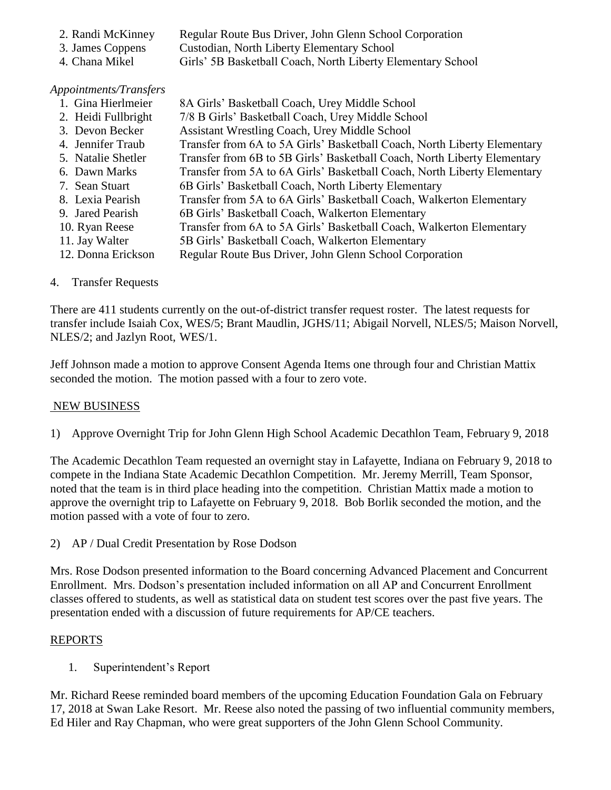- 2. Randi McKinney Regular Route Bus Driver, John Glenn School Corporation
- 3. James Coppens Custodian, North Liberty Elementary School
- 4. Chana Mikel Girls' 5B Basketball Coach, North Liberty Elementary School

### *Appointments/Transfers*

- 1. Gina Hierlmeier 8A Girls' Basketball Coach, Urey Middle School 2. Heidi Fullbright 7/8 B Girls' Basketball Coach, Urey Middle School
- 3. Devon Becker Assistant Wrestling Coach, Urey Middle School
- 4. Jennifer Traub Transfer from 6A to 5A Girls' Basketball Coach, North Liberty Elementary
- 5. Natalie Shetler Transfer from 6B to 5B Girls' Basketball Coach, North Liberty Elementary
- 6. Dawn Marks Transfer from 5A to 6A Girls' Basketball Coach, North Liberty Elementary
- 7. Sean Stuart 6B Girls' Basketball Coach, North Liberty Elementary
- 8. Lexia Pearish Transfer from 5A to 6A Girls' Basketball Coach, Walkerton Elementary
- 9. Jared Pearish 6B Girls' Basketball Coach, Walkerton Elementary
- 10. Ryan Reese Transfer from 6A to 5A Girls' Basketball Coach, Walkerton Elementary
- 11. Jay Walter 5B Girls' Basketball Coach, Walkerton Elementary
- 12. Donna Erickson Regular Route Bus Driver, John Glenn School Corporation

# 4. Transfer Requests

There are 411 students currently on the out-of-district transfer request roster. The latest requests for transfer include Isaiah Cox, WES/5; Brant Maudlin, JGHS/11; Abigail Norvell, NLES/5; Maison Norvell, NLES/2; and Jazlyn Root, WES/1.

Jeff Johnson made a motion to approve Consent Agenda Items one through four and Christian Mattix seconded the motion. The motion passed with a four to zero vote.

## NEW BUSINESS

1) Approve Overnight Trip for John Glenn High School Academic Decathlon Team, February 9, 2018

The Academic Decathlon Team requested an overnight stay in Lafayette, Indiana on February 9, 2018 to compete in the Indiana State Academic Decathlon Competition. Mr. Jeremy Merrill, Team Sponsor, noted that the team is in third place heading into the competition. Christian Mattix made a motion to approve the overnight trip to Lafayette on February 9, 2018. Bob Borlik seconded the motion, and the motion passed with a vote of four to zero.

2) AP / Dual Credit Presentation by Rose Dodson

Mrs. Rose Dodson presented information to the Board concerning Advanced Placement and Concurrent Enrollment. Mrs. Dodson's presentation included information on all AP and Concurrent Enrollment classes offered to students, as well as statistical data on student test scores over the past five years. The presentation ended with a discussion of future requirements for AP/CE teachers.

# REPORTS

1. Superintendent's Report

Mr. Richard Reese reminded board members of the upcoming Education Foundation Gala on February 17, 2018 at Swan Lake Resort. Mr. Reese also noted the passing of two influential community members, Ed Hiler and Ray Chapman, who were great supporters of the John Glenn School Community.